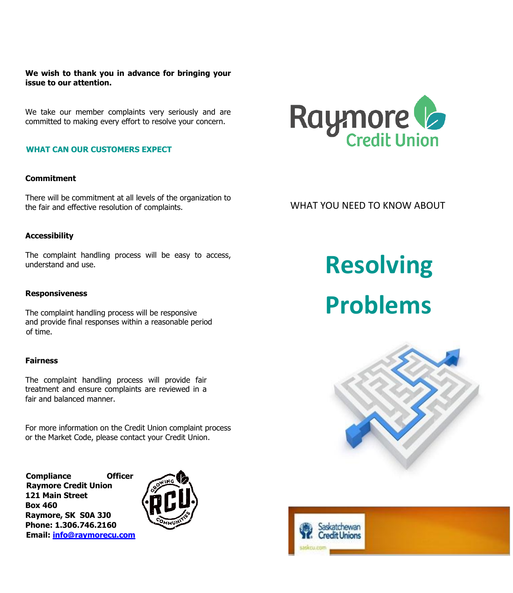**We wish to thank you in advance for bringing your issue to our attention.** 

We take our member complaints very seriously and are committed to making every effort to resolve your concern.

# **WHAT CAN OUR CUSTOMERS EXPECT**

# **Commitment**

There will be commitment at all levels of the organization to the fair and effective resolution of complaints.

# **Accessibility**

The complaint handling process will be easy to access, understand and use.

### **Responsiveness**

The complaint handling process will be responsive and provide final responses within a reasonable period of time.

# **Fairness**

The complaint handling process will provide fair treatment and ensure complaints are reviewed in a fair and balanced manner.

For more information on the Credit Union complaint process or the Market Code, please contact your Credit Union.

**Compliance Officer Raymore Credit Union 121 Main Street Box 460 Raymore, SK S0A 3J0 Phone: 1.306.746.2160 Email: info@raymorecu.com** 





WHAT YOU NEED TO KNOW ABOUT

**Resolving Problems**